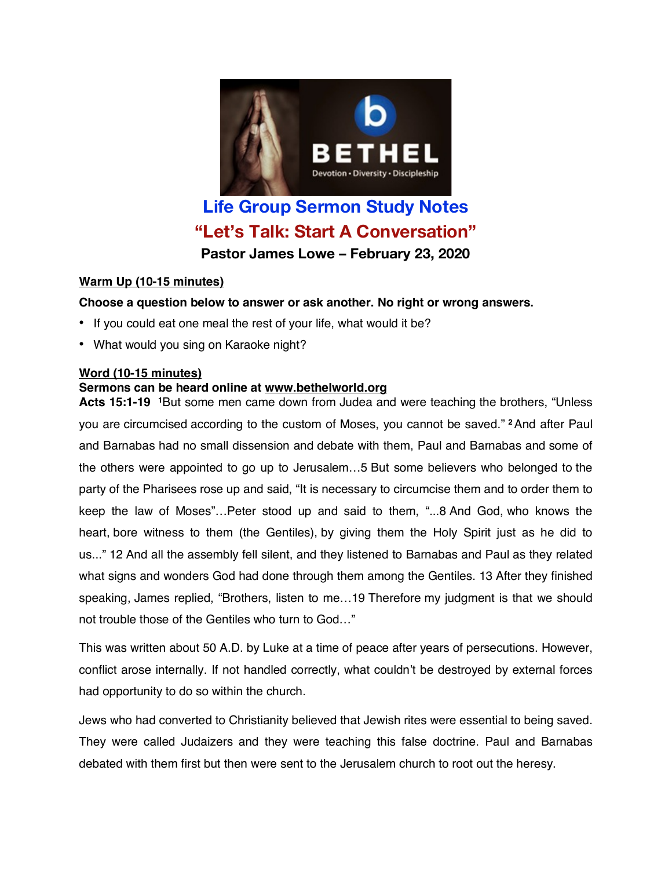

# **Life Group Sermon Study Notes "Let's Talk: Start A Conversation" Pastor James Lowe – February 23, 2020**

## **Warm Up (10-15 minutes)**

## **Choose a question below to answer or ask another. No right or wrong answers.**

- If you could eat one meal the rest of your life, what would it be?
- What would you sing on Karaoke night?

## **Word (10-15 minutes)**

## **Sermons can be heard online at www.bethelworld.org**

**Acts 15:1-19 1**But some men came down from Judea and were teaching the brothers, "Unless you are circumcised according to the custom of Moses, you cannot be saved." **<sup>2</sup>**And after Paul and Barnabas had no small dissension and debate with them, Paul and Barnabas and some of the others were appointed to go up to Jerusalem…5 But some believers who belonged to the party of the Pharisees rose up and said, "It is necessary to circumcise them and to order them to keep the law of Moses"…Peter stood up and said to them, "...8 And God, who knows the heart, bore witness to them (the Gentiles), by giving them the Holy Spirit just as he did to us..." 12 And all the assembly fell silent, and they listened to Barnabas and Paul as they related what signs and wonders God had done through them among the Gentiles. 13 After they finished speaking, James replied, "Brothers, listen to me…19 Therefore my judgment is that we should not trouble those of the Gentiles who turn to God…"

This was written about 50 A.D. by Luke at a time of peace after years of persecutions. However, conflict arose internally. If not handled correctly, what couldn't be destroyed by external forces had opportunity to do so within the church.

Jews who had converted to Christianity believed that Jewish rites were essential to being saved. They were called Judaizers and they were teaching this false doctrine. Paul and Barnabas debated with them first but then were sent to the Jerusalem church to root out the heresy.